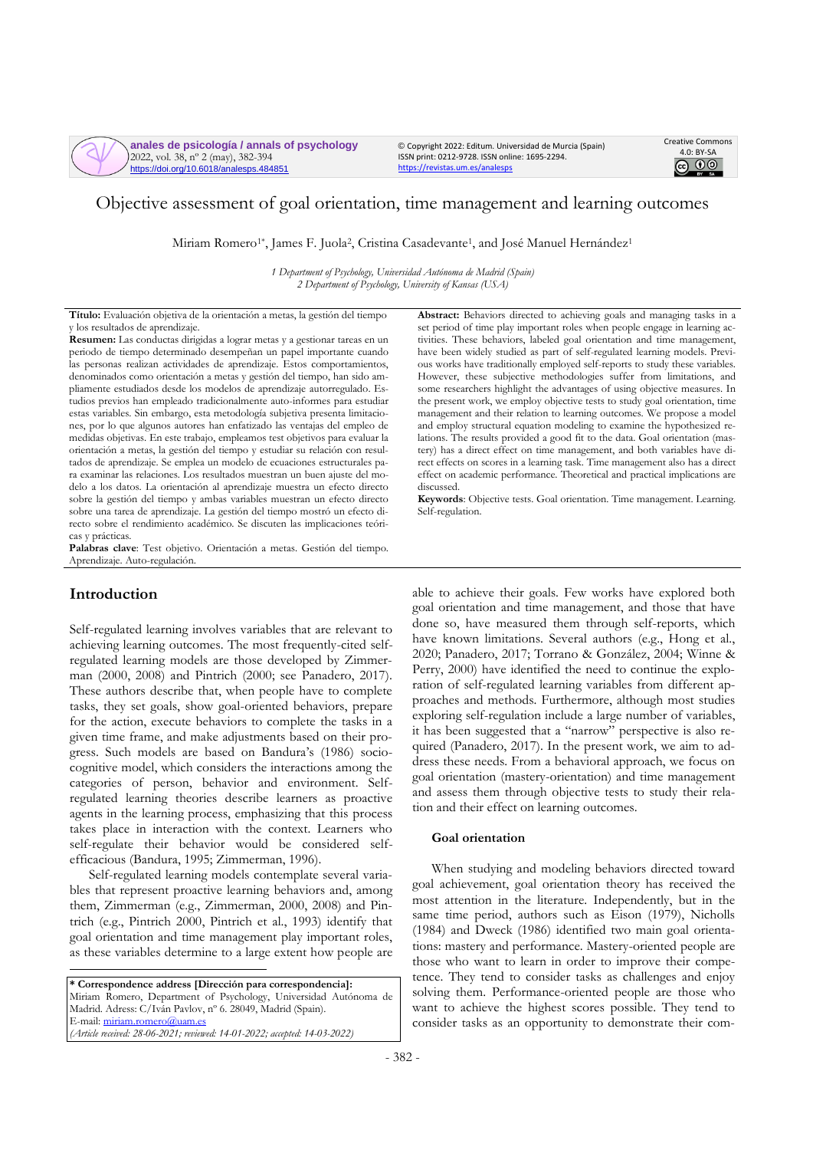**anales de psicología / annals of psychology** 2022, vol. 38, nº 2 (may), 382-394 https://doi.org/10.6018/analesps.484851

© Copyright 2022: Editum. Universidad de Murcia (Spain) ISSN print: 0212-9728. ISSN online: 1695-2294. <https://revistas.um.es/analesps>



# Objective assessment of goal orientation, time management and learning outcomes

Miriam Romero<sup>1\*</sup>, James F. Juola<sup>2</sup>, Cristina Casadevante<sup>1</sup>, and José Manuel Hernández<sup>1</sup>

*1 Department of Psychology, Universidad Autónoma de Madrid (Spain) 2 Department of Psychology, University of Kansas (USA)*

**Título:** Evaluación objetiva de la orientación a metas, la gestión del tiempo y los resultados de aprendizaje.

**Resumen:** Las conductas dirigidas a lograr metas y a gestionar tareas en un periodo de tiempo determinado desempeñan un papel importante cuando las personas realizan actividades de aprendizaje. Estos comportamientos, denominados como orientación a metas y gestión del tiempo, han sido ampliamente estudiados desde los modelos de aprendizaje autorregulado. Estudios previos han empleado tradicionalmente auto-informes para estudiar estas variables. Sin embargo, esta metodología subjetiva presenta limitaciones, por lo que algunos autores han enfatizado las ventajas del empleo de medidas objetivas. En este trabajo, empleamos test objetivos para evaluar la orientación a metas, la gestión del tiempo y estudiar su relación con resultados de aprendizaje. Se emplea un modelo de ecuaciones estructurales para examinar las relaciones. Los resultados muestran un buen ajuste del modelo a los datos. La orientación al aprendizaje muestra un efecto directo sobre la gestión del tiempo y ambas variables muestran un efecto directo sobre una tarea de aprendizaje. La gestión del tiempo mostró un efecto directo sobre el rendimiento académico. Se discuten las implicaciones teóricas y prácticas.

**Palabras clave**: Test objetivo. Orientación a metas. Gestión del tiempo. Aprendizaje. Auto-regulación.

# **Introduction**

Self-regulated learning involves variables that are relevant to achieving learning outcomes. The most frequently-cited selfregulated learning models are those developed by Zimmerman (2000, 2008) and Pintrich (2000; see Panadero, 2017). These authors describe that, when people have to complete tasks, they set goals, show goal-oriented behaviors, prepare for the action, execute behaviors to complete the tasks in a given time frame, and make adjustments based on their progress. Such models are based on Bandura's (1986) sociocognitive model, which considers the interactions among the categories of person, behavior and environment. Selfregulated learning theories describe learners as proactive agents in the learning process, emphasizing that this process takes place in interaction with the context. Learners who self-regulate their behavior would be considered selfefficacious (Bandura, 1995; Zimmerman, 1996).

Self-regulated learning models contemplate several variables that represent proactive learning behaviors and, among them, Zimmerman (e.g., Zimmerman, 2000, 2008) and Pintrich (e.g., Pintrich 2000, Pintrich et al., 1993) identify that goal orientation and time management play important roles, as these variables determine to a large extent how people are

**\* Correspondence address [Dirección para correspondencia]:** Miriam Romero, Department of Psychology, Universidad Autónoma de Madrid. Adress: C/Iván Pavlov, nº 6. 28049, Madrid (Spain). E-mail[: miriam.romero@uam.es](mailto:miriam.romero@uam.es) *(Article received: 28-06-2021; reviewed: 14-01-2022; accepted: 14-03-2022)*

**Abstract:** Behaviors directed to achieving goals and managing tasks in a set period of time play important roles when people engage in learning activities. These behaviors, labeled goal orientation and time management, have been widely studied as part of self-regulated learning models. Previous works have traditionally employed self-reports to study these variables. However, these subjective methodologies suffer from limitations, and some researchers highlight the advantages of using objective measures. In the present work, we employ objective tests to study goal orientation, time management and their relation to learning outcomes. We propose a model and employ structural equation modeling to examine the hypothesized relations. The results provided a good fit to the data. Goal orientation (mastery) has a direct effect on time management, and both variables have direct effects on scores in a learning task. Time management also has a direct effect on academic performance. Theoretical and practical implications are discussed.

**Keywords**: Objective tests. Goal orientation. Time management. Learning. Self-regulation.

able to achieve their goals. Few works have explored both goal orientation and time management, and those that have done so, have measured them through self-reports, which have known limitations. Several authors (e.g., Hong et al., 2020; Panadero, 2017; Torrano & González, 2004; Winne & Perry, 2000) have identified the need to continue the exploration of self-regulated learning variables from different approaches and methods. Furthermore, although most studies exploring self-regulation include a large number of variables, it has been suggested that a "narrow" perspective is also required (Panadero, 2017). In the present work, we aim to address these needs. From a behavioral approach, we focus on goal orientation (mastery-orientation) and time management and assess them through objective tests to study their relation and their effect on learning outcomes.

### **Goal orientation**

When studying and modeling behaviors directed toward goal achievement, goal orientation theory has received the most attention in the literature. Independently, but in the same time period, authors such as Eison (1979), Nicholls (1984) and Dweck (1986) identified two main goal orientations: mastery and performance. Mastery-oriented people are those who want to learn in order to improve their competence. They tend to consider tasks as challenges and enjoy solving them. Performance-oriented people are those who want to achieve the highest scores possible. They tend to consider tasks as an opportunity to demonstrate their com-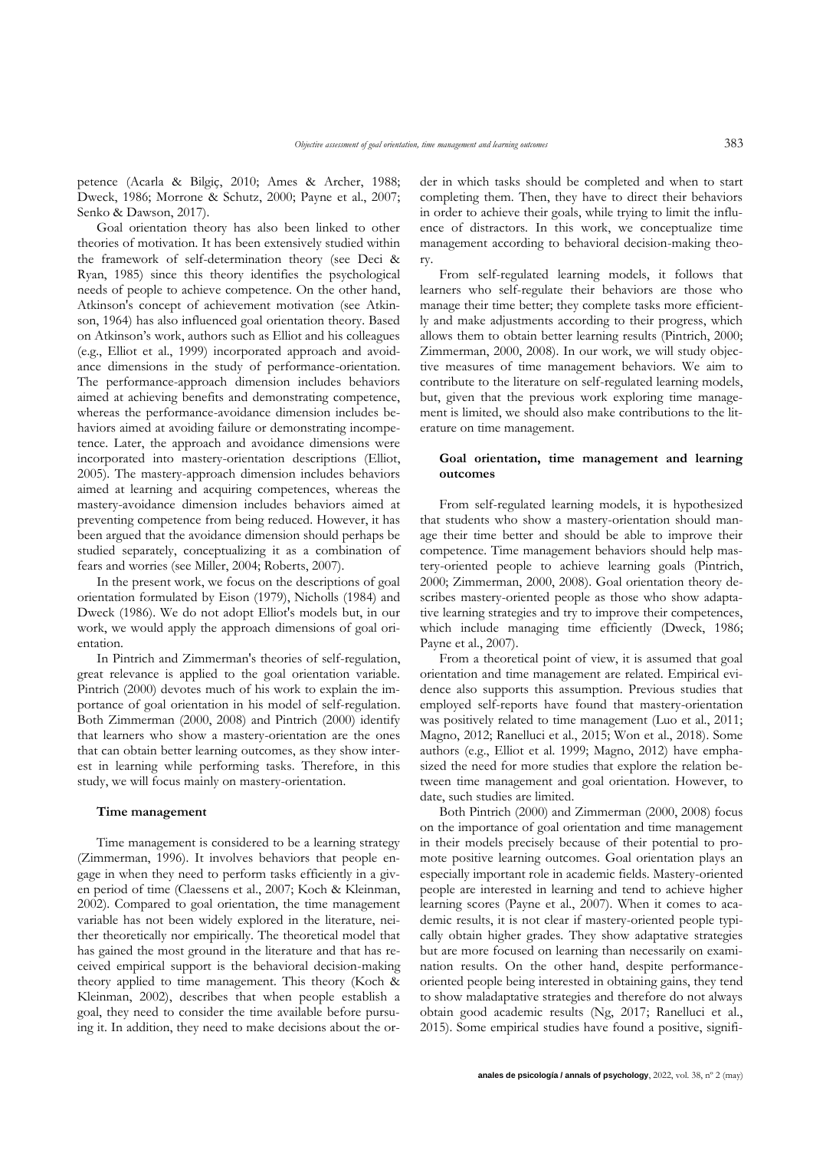petence (Acarla & Bilgiç, 2010; Ames & Archer, 1988; Dweck, 1986; Morrone & Schutz, 2000; Payne et al., 2007; Senko & Dawson, 2017).

Goal orientation theory has also been linked to other theories of motivation. It has been extensively studied within the framework of self-determination theory (see Deci & Ryan, 1985) since this theory identifies the psychological needs of people to achieve competence. On the other hand, Atkinson's concept of achievement motivation (see Atkinson, 1964) has also influenced goal orientation theory. Based on Atkinson's work, authors such as Elliot and his colleagues (e.g., Elliot et al., 1999) incorporated approach and avoidance dimensions in the study of performance-orientation. The performance-approach dimension includes behaviors aimed at achieving benefits and demonstrating competence, whereas the performance-avoidance dimension includes behaviors aimed at avoiding failure or demonstrating incompetence. Later, the approach and avoidance dimensions were incorporated into mastery-orientation descriptions (Elliot, 2005). The mastery-approach dimension includes behaviors aimed at learning and acquiring competences, whereas the mastery-avoidance dimension includes behaviors aimed at preventing competence from being reduced. However, it has been argued that the avoidance dimension should perhaps be studied separately, conceptualizing it as a combination of fears and worries (see Miller, 2004; Roberts, 2007).

In the present work, we focus on the descriptions of goal orientation formulated by Eison (1979), Nicholls (1984) and Dweck (1986). We do not adopt Elliot's models but, in our work, we would apply the approach dimensions of goal orientation.

In Pintrich and Zimmerman's theories of self-regulation, great relevance is applied to the goal orientation variable. Pintrich (2000) devotes much of his work to explain the importance of goal orientation in his model of self-regulation. Both Zimmerman (2000, 2008) and Pintrich (2000) identify that learners who show a mastery-orientation are the ones that can obtain better learning outcomes, as they show interest in learning while performing tasks. Therefore, in this study, we will focus mainly on mastery-orientation.

### **Time management**

Time management is considered to be a learning strategy (Zimmerman, 1996). It involves behaviors that people engage in when they need to perform tasks efficiently in a given period of time (Claessens et al., 2007; Koch & Kleinman, 2002). Compared to goal orientation, the time management variable has not been widely explored in the literature, neither theoretically nor empirically. The theoretical model that has gained the most ground in the literature and that has received empirical support is the behavioral decision-making theory applied to time management. This theory (Koch & Kleinman, 2002), describes that when people establish a goal, they need to consider the time available before pursuing it. In addition, they need to make decisions about the order in which tasks should be completed and when to start completing them. Then, they have to direct their behaviors in order to achieve their goals, while trying to limit the influence of distractors. In this work, we conceptualize time management according to behavioral decision-making theory.

From self-regulated learning models, it follows that learners who self-regulate their behaviors are those who manage their time better; they complete tasks more efficiently and make adjustments according to their progress, which allows them to obtain better learning results (Pintrich, 2000; Zimmerman, 2000, 2008). In our work, we will study objective measures of time management behaviors. We aim to contribute to the literature on self-regulated learning models, but, given that the previous work exploring time management is limited, we should also make contributions to the literature on time management.

## **Goal orientation, time management and learning outcomes**

From self-regulated learning models, it is hypothesized that students who show a mastery-orientation should manage their time better and should be able to improve their competence. Time management behaviors should help mastery-oriented people to achieve learning goals (Pintrich, 2000; Zimmerman, 2000, 2008). Goal orientation theory describes mastery-oriented people as those who show adaptative learning strategies and try to improve their competences, which include managing time efficiently (Dweck, 1986; Payne et al., 2007).

From a theoretical point of view, it is assumed that goal orientation and time management are related. Empirical evidence also supports this assumption. Previous studies that employed self-reports have found that mastery-orientation was positively related to time management (Luo et al., 2011; Magno, 2012; Ranelluci et al., 2015; Won et al., 2018). Some authors (e.g., Elliot et al. 1999; Magno, 2012) have emphasized the need for more studies that explore the relation between time management and goal orientation. However, to date, such studies are limited.

Both Pintrich (2000) and Zimmerman (2000, 2008) focus on the importance of goal orientation and time management in their models precisely because of their potential to promote positive learning outcomes. Goal orientation plays an especially important role in academic fields. Mastery-oriented people are interested in learning and tend to achieve higher learning scores (Payne et al., 2007). When it comes to academic results, it is not clear if mastery-oriented people typically obtain higher grades. They show adaptative strategies but are more focused on learning than necessarily on examination results. On the other hand, despite performanceoriented people being interested in obtaining gains, they tend to show maladaptative strategies and therefore do not always obtain good academic results (Ng, 2017; Ranelluci et al., 2015). Some empirical studies have found a positive, signifi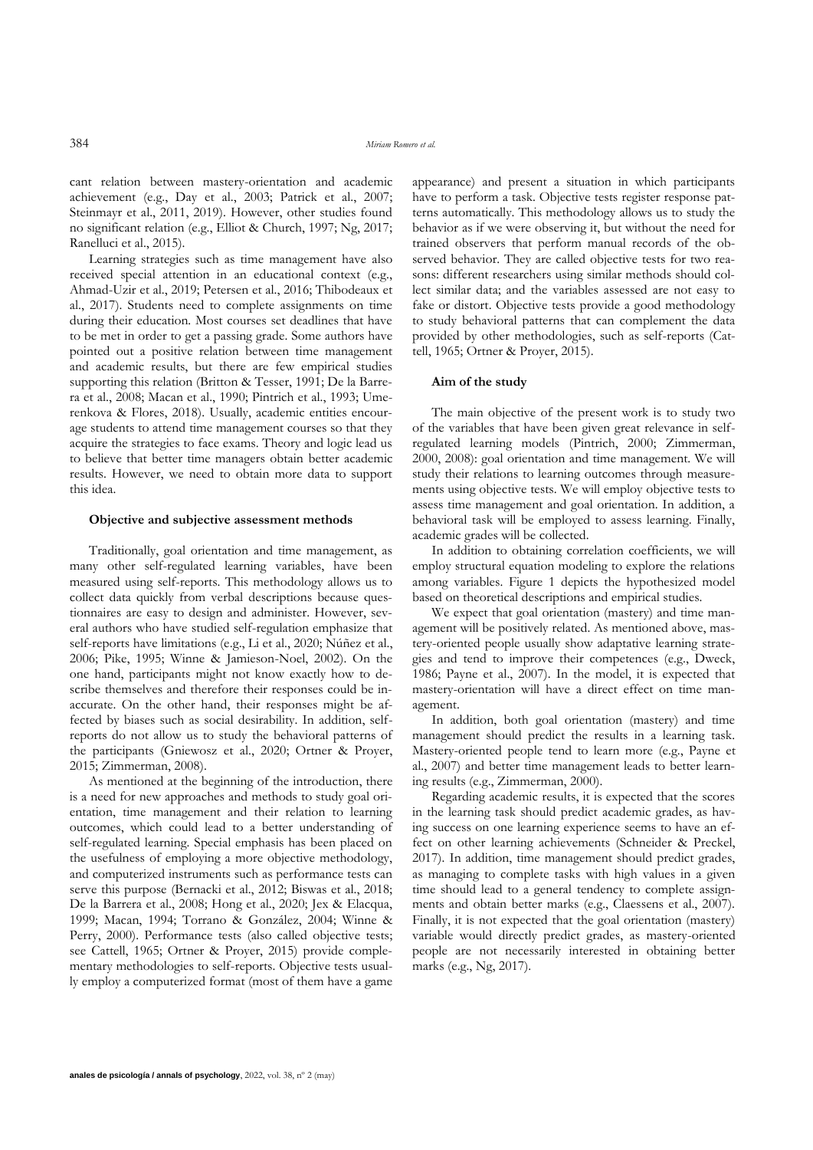cant relation between mastery-orientation and academic achievement (e.g., Day et al., 2003; Patrick et al., 2007; Steinmayr et al., 2011, 2019). However, other studies found no significant relation (e.g., Elliot & Church, 1997; Ng, 2017; Ranelluci et al., 2015).

Learning strategies such as time management have also received special attention in an educational context (e.g., Ahmad-Uzir et al., 2019; Petersen et al., 2016; Thibodeaux et al., 2017). Students need to complete assignments on time during their education. Most courses set deadlines that have to be met in order to get a passing grade. Some authors have pointed out a positive relation between time management and academic results, but there are few empirical studies supporting this relation (Britton & Tesser, 1991; De la Barrera et al., 2008; Macan et al., 1990; Pintrich et al., 1993; Umerenkova & Flores, 2018). Usually, academic entities encourage students to attend time management courses so that they acquire the strategies to face exams. Theory and logic lead us to believe that better time managers obtain better academic results. However, we need to obtain more data to support this idea.

#### **Objective and subjective assessment methods**

Traditionally, goal orientation and time management, as many other self-regulated learning variables, have been measured using self-reports. This methodology allows us to collect data quickly from verbal descriptions because questionnaires are easy to design and administer. However, several authors who have studied self-regulation emphasize that self-reports have limitations (e.g., Li et al., 2020; Núñez et al., 2006; Pike, 1995; Winne & Jamieson-Noel, 2002). On the one hand, participants might not know exactly how to describe themselves and therefore their responses could be inaccurate. On the other hand, their responses might be affected by biases such as social desirability. In addition, selfreports do not allow us to study the behavioral patterns of the participants (Gniewosz et al., 2020; Ortner & Proyer, 2015; Zimmerman, 2008).

As mentioned at the beginning of the introduction, there is a need for new approaches and methods to study goal orientation, time management and their relation to learning outcomes, which could lead to a better understanding of self-regulated learning. Special emphasis has been placed on the usefulness of employing a more objective methodology, and computerized instruments such as performance tests can serve this purpose (Bernacki et al., 2012; Biswas et al., 2018; De la Barrera et al., 2008; Hong et al., 2020; Jex & Elacqua, 1999; Macan, 1994; Torrano & González, 2004; Winne & Perry, 2000). Performance tests (also called objective tests; see Cattell, 1965; Ortner & Proyer, 2015) provide complementary methodologies to self-reports. Objective tests usually employ a computerized format (most of them have a game appearance) and present a situation in which participants have to perform a task. Objective tests register response patterns automatically. This methodology allows us to study the behavior as if we were observing it, but without the need for trained observers that perform manual records of the observed behavior. They are called objective tests for two reasons: different researchers using similar methods should collect similar data; and the variables assessed are not easy to fake or distort. Objective tests provide a good methodology to study behavioral patterns that can complement the data provided by other methodologies, such as self-reports (Cattell, 1965; Ortner & Proyer, 2015).

### **Aim of the study**

The main objective of the present work is to study two of the variables that have been given great relevance in selfregulated learning models (Pintrich, 2000; Zimmerman, 2000, 2008): goal orientation and time management. We will study their relations to learning outcomes through measurements using objective tests. We will employ objective tests to assess time management and goal orientation. In addition, a behavioral task will be employed to assess learning. Finally, academic grades will be collected.

In addition to obtaining correlation coefficients, we will employ structural equation modeling to explore the relations among variables. Figure 1 depicts the hypothesized model based on theoretical descriptions and empirical studies.

We expect that goal orientation (mastery) and time management will be positively related. As mentioned above, mastery-oriented people usually show adaptative learning strategies and tend to improve their competences (e.g., Dweck, 1986; Payne et al., 2007). In the model, it is expected that mastery-orientation will have a direct effect on time management.

In addition, both goal orientation (mastery) and time management should predict the results in a learning task. Mastery-oriented people tend to learn more (e.g., Payne et al., 2007) and better time management leads to better learning results (e.g., Zimmerman, 2000).

Regarding academic results, it is expected that the scores in the learning task should predict academic grades, as having success on one learning experience seems to have an effect on other learning achievements (Schneider & Preckel, 2017). In addition, time management should predict grades, as managing to complete tasks with high values in a given time should lead to a general tendency to complete assignments and obtain better marks (e.g., Claessens et al., 2007). Finally, it is not expected that the goal orientation (mastery) variable would directly predict grades, as mastery-oriented people are not necessarily interested in obtaining better marks (e.g., Ng, 2017).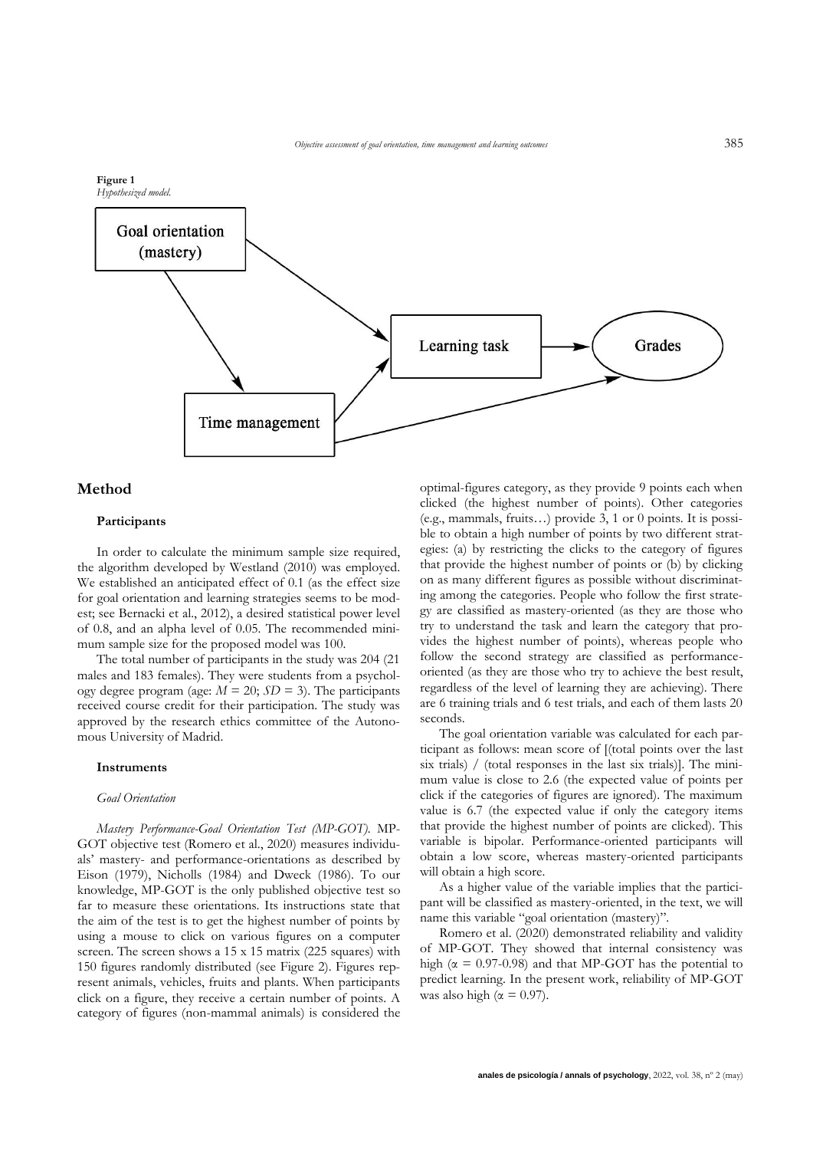

# **Method**

# **Participants**

In order to calculate the minimum sample size required, the algorithm developed by Westland (2010) was employed. We established an anticipated effect of 0.1 (as the effect size for goal orientation and learning strategies seems to be modest; see Bernacki et al., 2012), a desired statistical power level of 0.8, and an alpha level of 0.05. The recommended minimum sample size for the proposed model was 100.

The total number of participants in the study was 204 (21 males and 183 females). They were students from a psychology degree program (age:  $M = 20$ ;  $SD = 3$ ). The participants received course credit for their participation. The study was approved by the research ethics committee of the Autonomous University of Madrid.

# **Instruments**

## *Goal Orientation*

*Mastery Performance-Goal Orientation Test (MP-GOT).* MP-GOT objective test (Romero et al., 2020) measures individuals' mastery- and performance-orientations as described by Eison (1979), Nicholls (1984) and Dweck (1986). To our knowledge, MP-GOT is the only published objective test so far to measure these orientations. Its instructions state that the aim of the test is to get the highest number of points by using a mouse to click on various figures on a computer screen. The screen shows a 15 x 15 matrix (225 squares) with 150 figures randomly distributed (see Figure 2). Figures represent animals, vehicles, fruits and plants. When participants click on a figure, they receive a certain number of points. A category of figures (non-mammal animals) is considered the optimal-figures category, as they provide 9 points each when clicked (the highest number of points). Other categories (e.g., mammals, fruits…) provide 3, 1 or 0 points. It is possible to obtain a high number of points by two different strategies: (a) by restricting the clicks to the category of figures that provide the highest number of points or (b) by clicking on as many different figures as possible without discriminating among the categories. People who follow the first strategy are classified as mastery-oriented (as they are those who try to understand the task and learn the category that provides the highest number of points), whereas people who follow the second strategy are classified as performanceoriented (as they are those who try to achieve the best result, regardless of the level of learning they are achieving). There are 6 training trials and 6 test trials, and each of them lasts 20 seconds.

The goal orientation variable was calculated for each participant as follows: mean score of [(total points over the last six trials) / (total responses in the last six trials)]. The minimum value is close to 2.6 (the expected value of points per click if the categories of figures are ignored). The maximum value is 6.7 (the expected value if only the category items that provide the highest number of points are clicked). This variable is bipolar. Performance-oriented participants will obtain a low score, whereas mastery-oriented participants will obtain a high score.

As a higher value of the variable implies that the participant will be classified as mastery-oriented, in the text, we will name this variable "goal orientation (mastery)".

Romero et al. (2020) demonstrated reliability and validity of MP-GOT. They showed that internal consistency was high ( $\alpha$  = 0.97-0.98) and that MP-GOT has the potential to predict learning. In the present work, reliability of MP-GOT was also high ( $\alpha = 0.97$ ).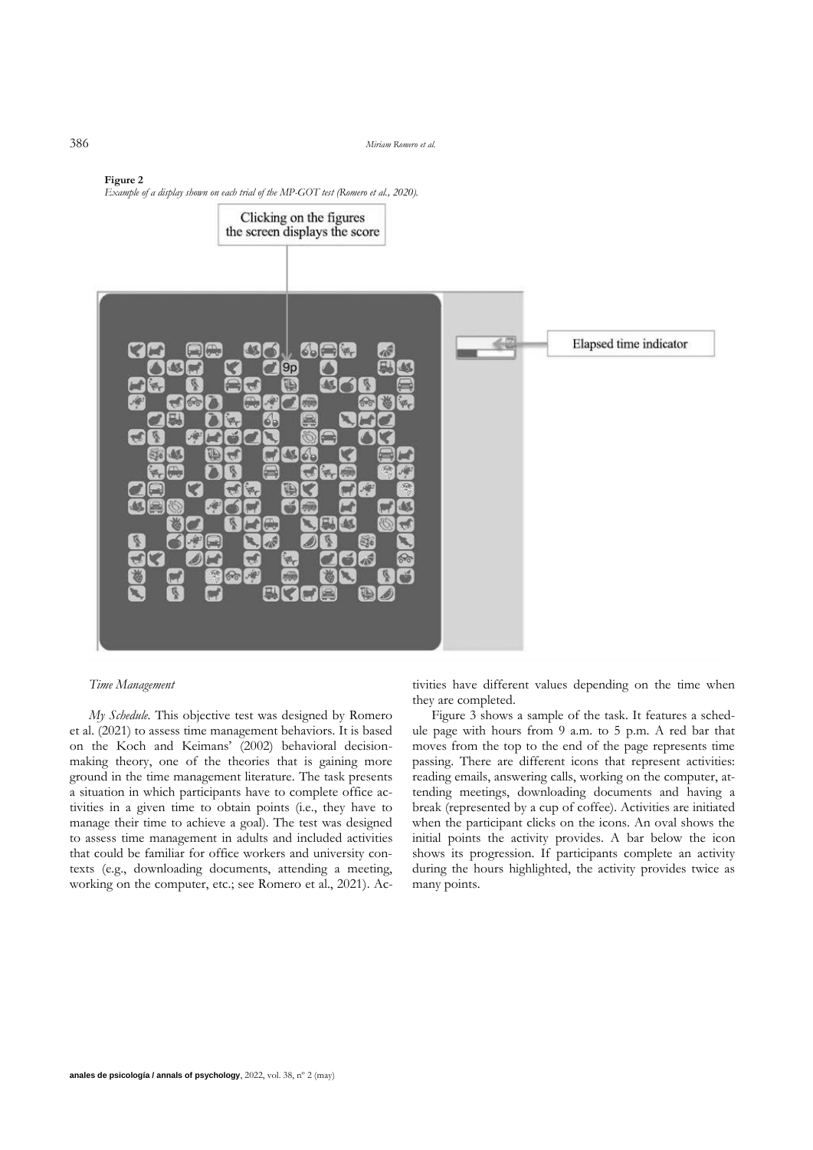386 *Miriam Romero et al.*



# **Figure 2** *Example of a display shown on each trial of the MP-GOT test (Romero et al., 2020).*

### *Time Management*

*My Schedule.* This objective test was designed by Romero et al. (2021) to assess time management behaviors. It is based on the Koch and Keimans' (2002) behavioral decisionmaking theory, one of the theories that is gaining more ground in the time management literature. The task presents a situation in which participants have to complete office activities in a given time to obtain points (i.e., they have to manage their time to achieve a goal). The test was designed to assess time management in adults and included activities that could be familiar for office workers and university contexts (e.g., downloading documents, attending a meeting, working on the computer, etc.; see Romero et al., 2021). Activities have different values depending on the time when they are completed.

Figure 3 shows a sample of the task. It features a schedule page with hours from 9 a.m. to 5 p.m. A red bar that moves from the top to the end of the page represents time passing. There are different icons that represent activities: reading emails, answering calls, working on the computer, attending meetings, downloading documents and having a break (represented by a cup of coffee). Activities are initiated when the participant clicks on the icons. An oval shows the initial points the activity provides. A bar below the icon shows its progression. If participants complete an activity during the hours highlighted, the activity provides twice as many points.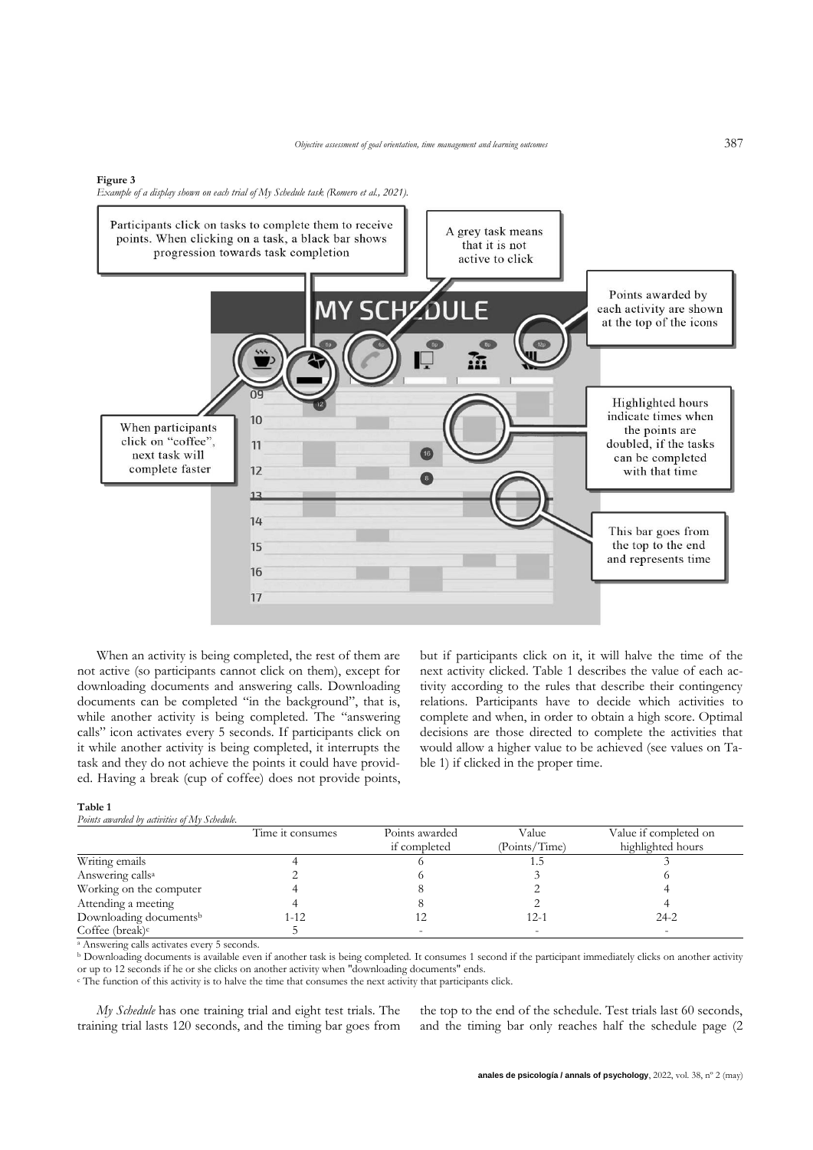*Objective assessment of goal orientation, time management and learning outcomes* 387

#### **Figure 3**

*Example of a display shown on each trial of My Schedule task (Romero et al., 2021).*



When an activity is being completed, the rest of them are not active (so participants cannot click on them), except for downloading documents and answering calls. Downloading documents can be completed "in the background", that is, while another activity is being completed. The "answering calls" icon activates every 5 seconds. If participants click on it while another activity is being completed, it interrupts the task and they do not achieve the points it could have provided. Having a break (cup of coffee) does not provide points,

but if participants click on it, it will halve the time of the next activity clicked. Table 1 describes the value of each activity according to the rules that describe their contingency relations. Participants have to decide which activities to complete and when, in order to obtain a high score. Optimal decisions are those directed to complete the activities that would allow a higher value to be achieved (see values on Table 1) if clicked in the proper time.

#### **Table 1**

*Points awarded by activities of My Schedule.*

|                                    | Time it consumes | Points awarded<br>if completed | Value<br>(Points/Time) | Value if completed on<br>highlighted hours |  |
|------------------------------------|------------------|--------------------------------|------------------------|--------------------------------------------|--|
| Writing emails                     |                  |                                |                        |                                            |  |
| Answering calls <sup>a</sup>       |                  |                                |                        |                                            |  |
| Working on the computer            |                  |                                |                        |                                            |  |
| Attending a meeting                |                  |                                |                        |                                            |  |
| Downloading documents <sup>b</sup> | $1 - 12$         |                                | 12-1                   | $24 - 2$                                   |  |
| Coffee $(break)^c$                 |                  |                                |                        |                                            |  |

<sup>a</sup> Answering calls activates every 5 seconds.

b Downloading documents is available even if another task is being completed. It consumes 1 second if the participant immediately clicks on another activity or up to 12 seconds if he or she clicks on another activity when "downloading documents" ends.

<sup>c</sup> The function of this activity is to halve the time that consumes the next activity that participants click.

*My Schedule* has one training trial and eight test trials. The training trial lasts 120 seconds, and the timing bar goes from the top to the end of the schedule. Test trials last 60 seconds, and the timing bar only reaches half the schedule page (2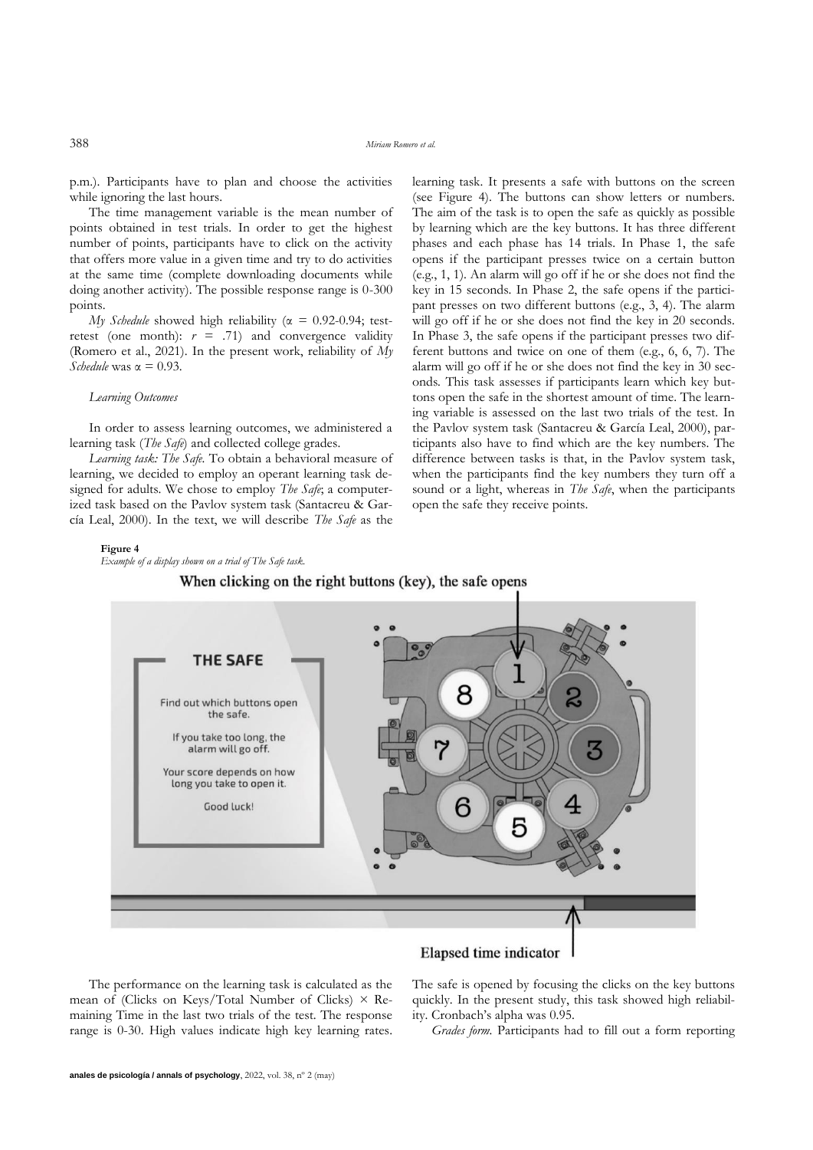p.m.). Participants have to plan and choose the activities while ignoring the last hours.

The time management variable is the mean number of points obtained in test trials. In order to get the highest number of points, participants have to click on the activity that offers more value in a given time and try to do activities at the same time (complete downloading documents while doing another activity). The possible response range is 0-300 points.

*My Schedule* showed high reliability (α = 0.92-0.94; testretest (one month):  $r = .71$ ) and convergence validity (Romero et al., 2021). In the present work, reliability of *My Schedule* was  $\alpha = 0.93$ .

### *Learning Outcomes*

In order to assess learning outcomes, we administered a learning task (*The Safe*) and collected college grades.

*Learning task: The Safe.* To obtain a behavioral measure of learning, we decided to employ an operant learning task designed for adults. We chose to employ *The Safe*; a computerized task based on the Pavlov system task (Santacreu & García Leal, 2000). In the text, we will describe *The Safe* as the

#### **Figure 4**

*Example of a display shown on a trial of The Safe task.*

learning task. It presents a safe with buttons on the screen (see Figure 4). The buttons can show letters or numbers. The aim of the task is to open the safe as quickly as possible by learning which are the key buttons. It has three different phases and each phase has 14 trials. In Phase 1, the safe opens if the participant presses twice on a certain button (e.g., 1, 1). An alarm will go off if he or she does not find the key in 15 seconds. In Phase 2, the safe opens if the participant presses on two different buttons (e.g., 3, 4). The alarm will go off if he or she does not find the key in 20 seconds. In Phase 3, the safe opens if the participant presses two different buttons and twice on one of them (e.g., 6, 6, 7). The alarm will go off if he or she does not find the key in 30 seconds*.* This task assesses if participants learn which key buttons open the safe in the shortest amount of time. The learning variable is assessed on the last two trials of the test. In the Pavlov system task (Santacreu & García Leal, 2000), participants also have to find which are the key numbers. The difference between tasks is that, in the Pavlov system task, when the participants find the key numbers they turn off a sound or a light, whereas in *The Safe*, when the participants open the safe they receive points.



# Elapsed time indicator

The performance on the learning task is calculated as the mean of (Clicks on Keys/Total Number of Clicks)  $\times$  Remaining Time in the last two trials of the test. The response range is 0-30. High values indicate high key learning rates. The safe is opened by focusing the clicks on the key buttons quickly. In the present study, this task showed high reliability. Cronbach's alpha was 0.95.

*Grades form.* Participants had to fill out a form reporting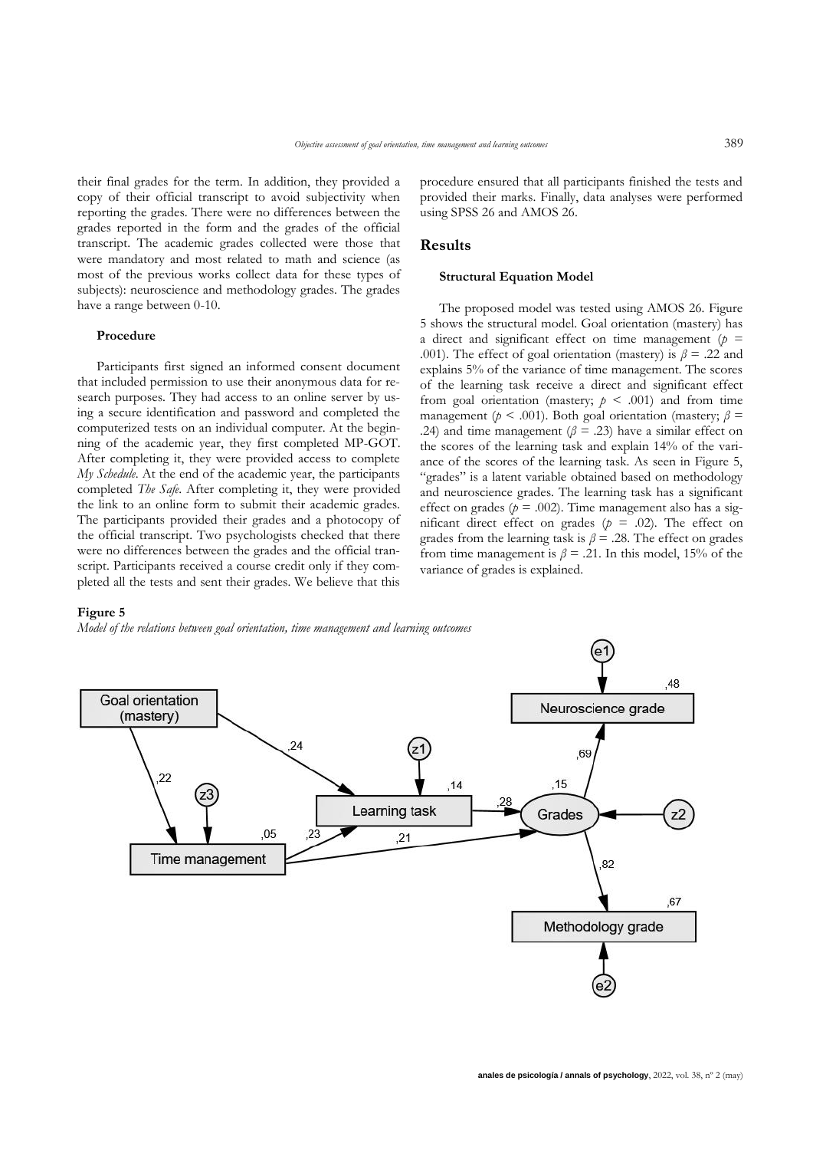their final grades for the term. In addition, they provided a copy of their official transcript to avoid subjectivity when reporting the grades. There were no differences between the grades reported in the form and the grades of the official transcript. The academic grades collected were those that were mandatory and most related to math and science (as most of the previous works collect data for these types of subjects): neuroscience and methodology grades. The grades have a range between 0-10.

### **Procedure**

Participants first signed an informed consent document that included permission to use their anonymous data for research purposes. They had access to an online server by using a secure identification and password and completed the computerized tests on an individual computer. At the beginning of the academic year, they first completed MP-GOT. After completing it, they were provided access to complete *My Schedule*. At the end of the academic year, the participants completed *The Safe*. After completing it, they were provided the link to an online form to submit their academic grades. The participants provided their grades and a photocopy of the official transcript. Two psychologists checked that there were no differences between the grades and the official transcript. Participants received a course credit only if they completed all the tests and sent their grades. We believe that this

# procedure ensured that all participants finished the tests and provided their marks. Finally, data analyses were performed using SPSS 26 and AMOS 26.

# **Results**

### **Structural Equation Model**

The proposed model was tested using AMOS 26. Figure 5 shows the structural model. Goal orientation (mastery) has a direct and significant effect on time management ( $p =$ .001). The effect of goal orientation (mastery) is  $\beta$  = .22 and explains 5% of the variance of time management. The scores of the learning task receive a direct and significant effect from goal orientation (mastery;  $p \leq .001$ ) and from time management (*p* < .001). Both goal orientation (mastery; *β* = .24) and time management ( $\beta$  = .23) have a similar effect on the scores of the learning task and explain 14% of the variance of the scores of the learning task. As seen in Figure 5, "grades" is a latent variable obtained based on methodology and neuroscience grades. The learning task has a significant effect on grades ( $p = .002$ ). Time management also has a significant direct effect on grades  $(p = .02)$ . The effect on grades from the learning task is  $\beta$  = .28. The effect on grades from time management is  $\beta = .21$ . In this model, 15% of the variance of grades is explained.

### **Figure 5**

*Model of the relations between goal orientation, time management and learning outcomes*

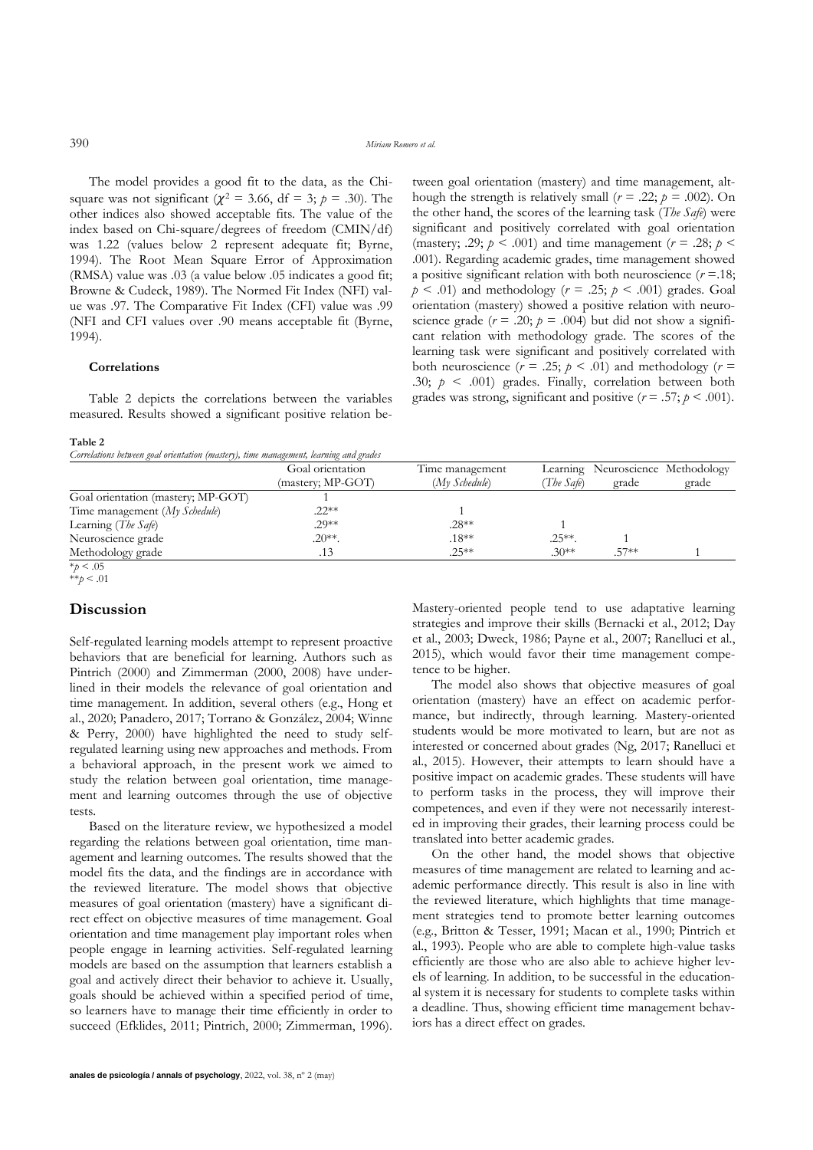The model provides a good fit to the data, as the Chisquare was not significant ( $\chi^2 = 3.66$ , df = 3;  $p = .30$ ). The other indices also showed acceptable fits. The value of the index based on Chi-square/degrees of freedom (CMIN/df) was 1.22 (values below 2 represent adequate fit; Byrne, 1994). The Root Mean Square Error of Approximation (RMSA) value was .03 (a value below .05 indicates a good fit; Browne & Cudeck, 1989). The Normed Fit Index (NFI) value was .97. The Comparative Fit Index (CFI) value was .99 (NFI and CFI values over .90 means acceptable fit (Byrne, 1994).

### **Correlations**

Table 2 depicts the correlations between the variables measured. Results showed a significant positive relation be-

tween goal orientation (mastery) and time management, although the strength is relatively small ( $r = .22$ ;  $p = .002$ ). On the other hand, the scores of the learning task (*The Safe*) were significant and positively correlated with goal orientation (mastery; .29;  $p < .001$ ) and time management ( $r = .28$ ;  $p <$ .001). Regarding academic grades, time management showed a positive significant relation with both neuroscience (*r* =.18;  $p \leq .01$ ) and methodology ( $r = .25$ ;  $p \leq .001$ ) grades. Goal orientation (mastery) showed a positive relation with neuroscience grade  $(r = .20; p = .004)$  but did not show a significant relation with methodology grade. The scores of the learning task were significant and positively correlated with both neuroscience  $(r = .25; p < .01)$  and methodology  $(r = .25; p < .01)$ .30;  $p \leq .001$ ) grades. Finally, correlation between both grades was strong, significant and positive  $(r = .57; p < .001)$ .

**Table 2**

*Correlations between goal orientation (mastery), time management, learning and grades*

|           | Time management   |            |         | Learning Neuroscience Methodology |
|-----------|-------------------|------------|---------|-----------------------------------|
|           | (My Schedule)     | (The Safe) | grade   | grade                             |
|           |                   |            |         |                                   |
| $.22**$   |                   |            |         |                                   |
| $.29**$   | $.28**$           |            |         |                                   |
| $.20**$ . | $.18**$           | $.25***$   |         |                                   |
| $.13\,$   | $.25**$           | $.30**$    | $.57**$ |                                   |
|           | (mastery; MP-GOT) |            |         |                                   |

 $*_{p} < .05$  $**_p < .01$ 

# **Discussion**

Self-regulated learning models attempt to represent proactive behaviors that are beneficial for learning. Authors such as Pintrich (2000) and Zimmerman (2000, 2008) have underlined in their models the relevance of goal orientation and time management. In addition, several others (e.g., Hong et al., 2020; Panadero, 2017; Torrano & González, 2004; Winne & Perry, 2000) have highlighted the need to study selfregulated learning using new approaches and methods. From a behavioral approach, in the present work we aimed to study the relation between goal orientation, time management and learning outcomes through the use of objective tests.

Based on the literature review, we hypothesized a model regarding the relations between goal orientation, time management and learning outcomes. The results showed that the model fits the data, and the findings are in accordance with the reviewed literature. The model shows that objective measures of goal orientation (mastery) have a significant direct effect on objective measures of time management. Goal orientation and time management play important roles when people engage in learning activities. Self-regulated learning models are based on the assumption that learners establish a goal and actively direct their behavior to achieve it. Usually, goals should be achieved within a specified period of time, so learners have to manage their time efficiently in order to succeed (Efklides, 2011; Pintrich, 2000; Zimmerman, 1996).

**anales de psicología / annals of psychology**, 2022, vol. 38, nº 2 (may)

Mastery-oriented people tend to use adaptative learning strategies and improve their skills (Bernacki et al., 2012; Day et al., 2003; Dweck, 1986; Payne et al., 2007; Ranelluci et al., 2015), which would favor their time management competence to be higher.

The model also shows that objective measures of goal orientation (mastery) have an effect on academic performance, but indirectly, through learning. Mastery-oriented students would be more motivated to learn, but are not as interested or concerned about grades (Ng, 2017; Ranelluci et al., 2015). However, their attempts to learn should have a positive impact on academic grades. These students will have to perform tasks in the process, they will improve their competences, and even if they were not necessarily interested in improving their grades, their learning process could be translated into better academic grades.

On the other hand, the model shows that objective measures of time management are related to learning and academic performance directly. This result is also in line with the reviewed literature, which highlights that time management strategies tend to promote better learning outcomes (e.g., Britton & Tesser, 1991; Macan et al., 1990; Pintrich et al., 1993). People who are able to complete high-value tasks efficiently are those who are also able to achieve higher levels of learning. In addition, to be successful in the educational system it is necessary for students to complete tasks within a deadline. Thus, showing efficient time management behaviors has a direct effect on grades.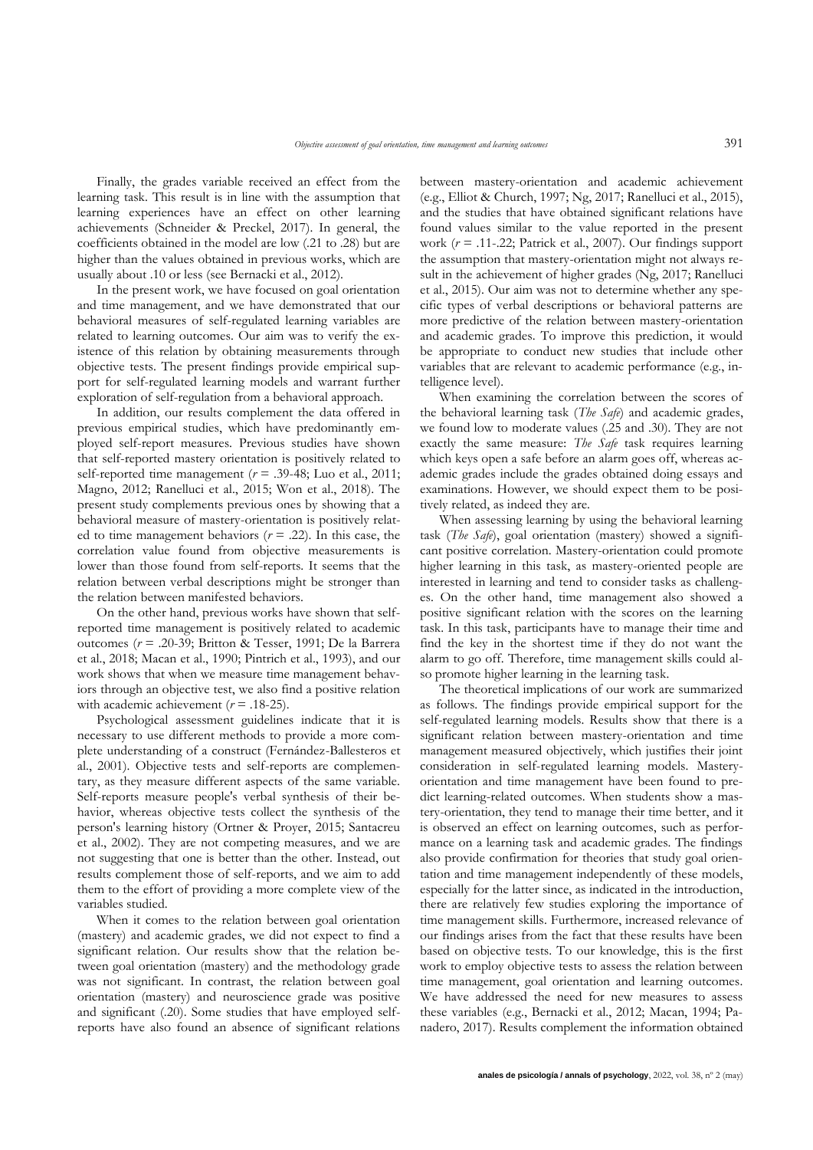Finally, the grades variable received an effect from the learning task. This result is in line with the assumption that learning experiences have an effect on other learning achievements (Schneider & Preckel, 2017). In general, the coefficients obtained in the model are low (.21 to .28) but are higher than the values obtained in previous works, which are usually about .10 or less (see Bernacki et al., 2012).

In the present work, we have focused on goal orientation and time management, and we have demonstrated that our behavioral measures of self-regulated learning variables are related to learning outcomes. Our aim was to verify the existence of this relation by obtaining measurements through objective tests. The present findings provide empirical support for self-regulated learning models and warrant further exploration of self-regulation from a behavioral approach.

In addition, our results complement the data offered in previous empirical studies, which have predominantly employed self-report measures. Previous studies have shown that self-reported mastery orientation is positively related to self-reported time management  $(r = .39-48;$  Luo et al., 2011; Magno, 2012; Ranelluci et al., 2015; Won et al., 2018). The present study complements previous ones by showing that a behavioral measure of mastery-orientation is positively related to time management behaviors  $(r = .22)$ . In this case, the correlation value found from objective measurements is lower than those found from self-reports. It seems that the relation between verbal descriptions might be stronger than the relation between manifested behaviors.

On the other hand, previous works have shown that selfreported time management is positively related to academic outcomes (*r* = .20-39; Britton & Tesser, 1991; De la Barrera et al., 2018; Macan et al., 1990; Pintrich et al., 1993), and our work shows that when we measure time management behaviors through an objective test, we also find a positive relation with academic achievement  $(r = .18-25)$ .

Psychological assessment guidelines indicate that it is necessary to use different methods to provide a more complete understanding of a construct (Fernández-Ballesteros et al., 2001). Objective tests and self-reports are complementary, as they measure different aspects of the same variable. Self-reports measure people's verbal synthesis of their behavior, whereas objective tests collect the synthesis of the person's learning history (Ortner & Proyer, 2015; Santacreu et al., 2002). They are not competing measures, and we are not suggesting that one is better than the other. Instead, out results complement those of self-reports, and we aim to add them to the effort of providing a more complete view of the variables studied.

When it comes to the relation between goal orientation (mastery) and academic grades, we did not expect to find a significant relation. Our results show that the relation between goal orientation (mastery) and the methodology grade was not significant. In contrast, the relation between goal orientation (mastery) and neuroscience grade was positive and significant (.20). Some studies that have employed selfreports have also found an absence of significant relations between mastery-orientation and academic achievement (e.g., Elliot & Church, 1997; Ng, 2017; Ranelluci et al., 2015), and the studies that have obtained significant relations have found values similar to the value reported in the present work (*r* = .11-.22; Patrick et al., 2007). Our findings support the assumption that mastery-orientation might not always result in the achievement of higher grades (Ng, 2017; Ranelluci et al., 2015). Our aim was not to determine whether any specific types of verbal descriptions or behavioral patterns are more predictive of the relation between mastery-orientation and academic grades. To improve this prediction, it would be appropriate to conduct new studies that include other variables that are relevant to academic performance (e.g., intelligence level).

When examining the correlation between the scores of the behavioral learning task (*The Safe*) and academic grades, we found low to moderate values (.25 and .30). They are not exactly the same measure: *The Safe* task requires learning which keys open a safe before an alarm goes off, whereas academic grades include the grades obtained doing essays and examinations. However, we should expect them to be positively related, as indeed they are.

When assessing learning by using the behavioral learning task (*The Safe*), goal orientation (mastery) showed a significant positive correlation. Mastery-orientation could promote higher learning in this task, as mastery-oriented people are interested in learning and tend to consider tasks as challenges. On the other hand, time management also showed a positive significant relation with the scores on the learning task. In this task, participants have to manage their time and find the key in the shortest time if they do not want the alarm to go off. Therefore, time management skills could also promote higher learning in the learning task.

The theoretical implications of our work are summarized as follows. The findings provide empirical support for the self-regulated learning models. Results show that there is a significant relation between mastery-orientation and time management measured objectively, which justifies their joint consideration in self-regulated learning models. Masteryorientation and time management have been found to predict learning-related outcomes. When students show a mastery-orientation, they tend to manage their time better, and it is observed an effect on learning outcomes, such as performance on a learning task and academic grades. The findings also provide confirmation for theories that study goal orientation and time management independently of these models, especially for the latter since, as indicated in the introduction, there are relatively few studies exploring the importance of time management skills. Furthermore, increased relevance of our findings arises from the fact that these results have been based on objective tests. To our knowledge, this is the first work to employ objective tests to assess the relation between time management, goal orientation and learning outcomes. We have addressed the need for new measures to assess these variables (e.g., Bernacki et al., 2012; Macan, 1994; Panadero, 2017). Results complement the information obtained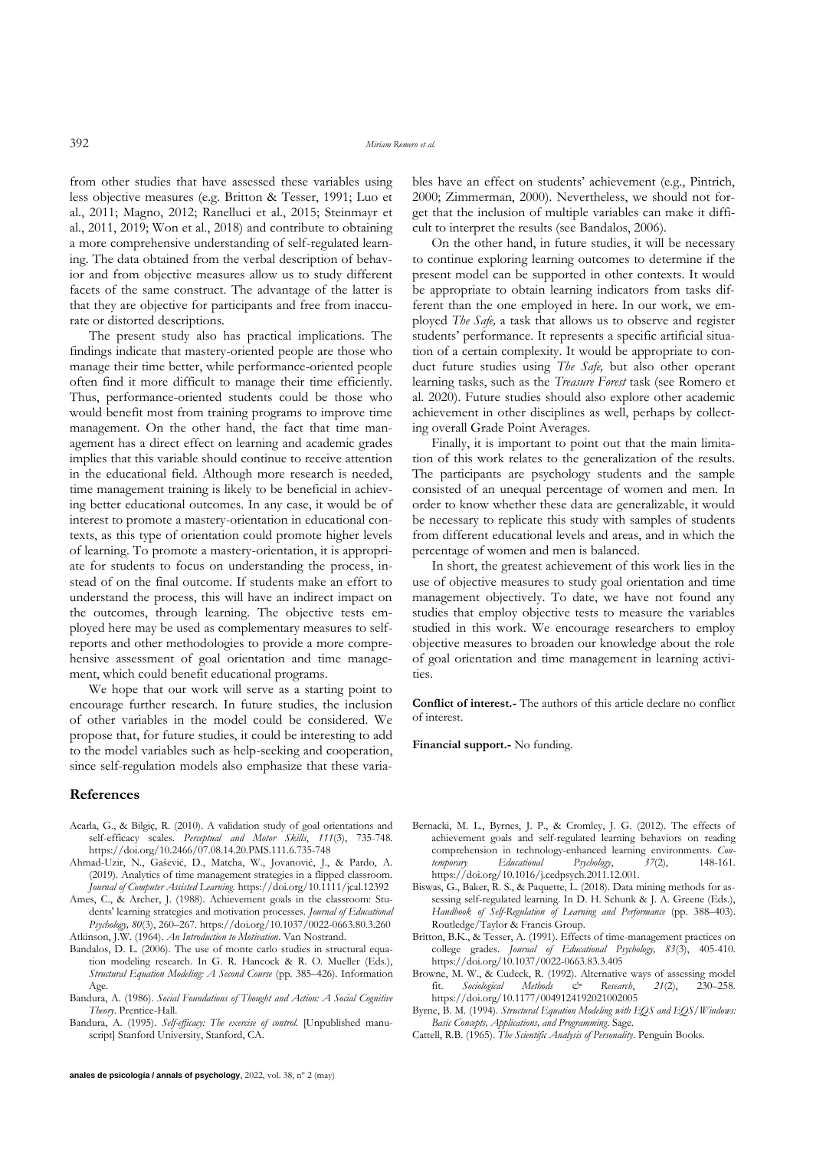from other studies that have assessed these variables using less objective measures (e.g. Britton & Tesser, 1991; Luo et al., 2011; Magno, 2012; Ranelluci et al., 2015; Steinmayr et al., 2011, 2019; Won et al., 2018) and contribute to obtaining a more comprehensive understanding of self-regulated learning. The data obtained from the verbal description of behavior and from objective measures allow us to study different facets of the same construct. The advantage of the latter is that they are objective for participants and free from inaccurate or distorted descriptions.

The present study also has practical implications. The findings indicate that mastery-oriented people are those who manage their time better, while performance-oriented people often find it more difficult to manage their time efficiently. Thus, performance-oriented students could be those who would benefit most from training programs to improve time management. On the other hand, the fact that time management has a direct effect on learning and academic grades implies that this variable should continue to receive attention in the educational field. Although more research is needed, time management training is likely to be beneficial in achieving better educational outcomes. In any case, it would be of interest to promote a mastery-orientation in educational contexts, as this type of orientation could promote higher levels of learning. To promote a mastery-orientation, it is appropriate for students to focus on understanding the process, instead of on the final outcome. If students make an effort to understand the process, this will have an indirect impact on the outcomes, through learning. The objective tests employed here may be used as complementary measures to selfreports and other methodologies to provide a more comprehensive assessment of goal orientation and time management, which could benefit educational programs.

We hope that our work will serve as a starting point to encourage further research. In future studies, the inclusion of other variables in the model could be considered. We propose that, for future studies, it could be interesting to add to the model variables such as help-seeking and cooperation, since self-regulation models also emphasize that these varia-

# **References**

- Acarla, G., & Bilgiç, R. (2010). A validation study of goal orientations and self-efficacy scales. *Perceptual and Motor Skills*, *111*(3), 735-748. https://doi.org[/10.2466/07.08.14.20.PMS.111.6.735-748](https://doi.org/10.2466%2F07.08.14.20.PMS.111.6.735-748)
- Ahmad-Uzir, N., Gašević, D., Matcha, W., Jovanović, J., & Pardo, A. (2019). Analytics of time management strategies in a flipped classroom. *Journal of Computer Assisted Learning.* <https://doi.org/10.1111/jcal.12392>
- Ames, C., & Archer, J. (1988). Achievement goals in the classroom: Students' learning strategies and motivation processes. *Journal of Educational Psychology, 80*(3), 260–267[. https://doi.org/10.1037/0022-0663.80.3.260](https://psycnet.apa.org/doi/10.1037/0022-0663.80.3.260) Atkinson, J.W. (1964). *An Introduction to Motivation*. Van Nostrand.
- Bandalos, D. L. (2006). The use of monte carlo studies in structural equation modeling research. In G. R. Hancock & R. O. Mueller (Eds.), *Structural Equation Modeling: A Second Course* (pp. 385–426). Information Age.
- *Theory*. Prentice-Hall.
- script] Stanford University, Stanford, CA.

- Bandura, A. (1986). *Social Foundations of Thought and Action: A Social Cognitive*
- Bandura, A. (1995). *Self-efficacy: The exercise of control.* [Unpublished manu-

**anales de psicología / annals of psychology**, 2022, vol. 38, nº 2 (may)

bles have an effect on students' achievement (e.g., Pintrich, 2000; Zimmerman, 2000). Nevertheless, we should not forget that the inclusion of multiple variables can make it difficult to interpret the results (see Bandalos, 2006).

On the other hand, in future studies, it will be necessary to continue exploring learning outcomes to determine if the present model can be supported in other contexts. It would be appropriate to obtain learning indicators from tasks different than the one employed in here. In our work, we employed *The Safe,* a task that allows us to observe and register students' performance. It represents a specific artificial situation of a certain complexity. It would be appropriate to conduct future studies using *The Safe,* but also other operant learning tasks, such as the *Treasure Forest* task (see Romero et al. 2020). Future studies should also explore other academic achievement in other disciplines as well, perhaps by collecting overall Grade Point Averages.

Finally, it is important to point out that the main limitation of this work relates to the generalization of the results. The participants are psychology students and the sample consisted of an unequal percentage of women and men. In order to know whether these data are generalizable, it would be necessary to replicate this study with samples of students from different educational levels and areas, and in which the percentage of women and men is balanced.

In short, the greatest achievement of this work lies in the use of objective measures to study goal orientation and time management objectively. To date, we have not found any studies that employ objective tests to measure the variables studied in this work. We encourage researchers to employ objective measures to broaden our knowledge about the role of goal orientation and time management in learning activities.

**Conflict of interest.-** The authors of this article declare no conflict of interest.

**Financial support.-** No funding.

- Bernacki, M. L., Byrnes, J. P., & Cromley, J. G. (2012). The effects of achievement goals and self-regulated learning behaviors on reading comprehension in technology-enhanced learning environments. *Contemporary* Educational Psychology, 37(2), 148-161. *temporary Educational Psychology*,  $37(2)$ , https://doi.org/10.1016/j.cedpsych.2011.12.001.
- Biswas, G., Baker, R. S., & Paquette, L. (2018). Data mining methods for assessing self-regulated learning. In D. H. Schunk & J. A. Greene (Eds.), *Handbook of Self-Regulation of Learning and Performance* (pp. 388–403). Routledge/Taylor & Francis Group.
- Britton, B.K., & Tesser, A. (1991). Effects of time-management practices on college grades. *Journal of Educational Psychology, 83*(3), 405-410. https://doi.org/10.1037/0022-0663.83.3.405
- Browne, M. W., & Cudeck, R. (1992). Alternative ways of assessing model<br>fit. Sociological Methods  $\stackrel{\leftrightarrow}{\sim}$  Research, 21(2), 230–258. fit. Sociological Methods & Research, 21(2), https://doi.org[/10.1177/0049124192021002005](https://doi.org/10.1177/0049124192021002005)
- Byrne, B. M. (1994). *Structural Equation Modeling with EQS and EQS/Windows: Basic Concepts, Applications, and Programming*. Sage.
- Cattell, R.B. (1965). *The Scientific Analysis of Personality*. Penguin Books.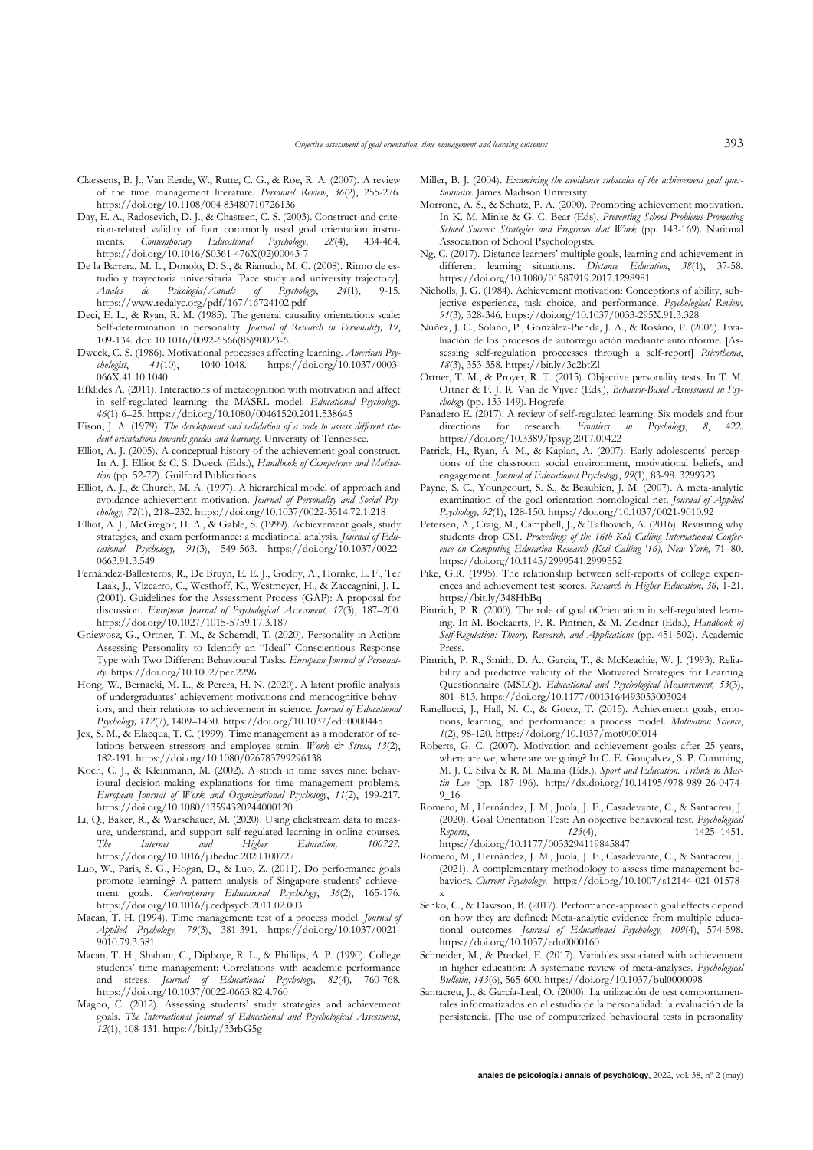- Claessens, B. J., Van Eerde, W., Rutte, C. G., & Roe, R. A. (2007). A review of the time management literature. *Personnel Review*, *36*(2), 255-276. https://doi.org/10.1108/004 83480710726136
- Day, E. A., Radosevich, D. J., & Chasteen, C. S. (2003). Construct-and criterion-related validity of four commonly used goal orientation instru-<br>ments. *Contemporary* Educational Psychology, 28(4), 434-464. ments. *Contemporary Educational Psychology*, [https://doi.org/10.1016/S0361-476X\(02\)00043-7](https://doi.org/10.1016/S0361-476X(02)00043-7)
- De la Barrera, M. L., Donolo, D. S., & Rianudo, M. C. (2008). Ritmo de estudio y trayectoria universitaria [Pace study and university trajectory].<br>
Anales de Psicología/Annals of Psychology, 24(1), 9-15. *Anales de Psicología/Annals of Psychology*, *24*(1), 9-15. https://www.redalyc.org/pdf/167/16724102.pdf
- Deci, E. L., & Ryan, R. M. (1985). The general causality orientations scale: Self-determination in personality. *Journal of Research in Personality, 19*, 109-134. doi: 10.1016/0092-6566(85)90023-6.
- Dweck, C. S. (1986). Motivational processes affecting learning. *American Psy*[https://doi.org/10.1037/0003-](https://doi.org/10.1037/0003-066X.41.10.1040) [066X.41.10.1040](https://doi.org/10.1037/0003-066X.41.10.1040)
- Efklides A. (2011). Interactions of metacognition with motivation and affect in self-regulated learning: the MASRL model. *Educational Psychology. 46*(1) 6–25. https://doi.org/10.1080/00461520.2011.538645
- Eison, J. A. (1979). *The development and validation of a scale to assess different student orientations towards grades and learning*. University of Tennessee.
- Elliot, A. J. (2005). A conceptual history of the achievement goal construct. In A. J. Elliot & C. S. Dweck (Eds.), *Handbook of Competence and Motivation* (pp. 52-72). Guilford Publications.
- Elliot, A. J., & Church, M. A. (1997). A hierarchical model of approach and avoidance achievement motivation. *Journal of Personality and Social Psychology, 72*(1), 218–232. https://doi.org/10.1037/0022-3514.72.1.218
- Elliot, A. J., McGregor, H. A., & Gable, S. (1999). Achievement goals, study strategies, and exam performance: a mediational analysis. *Journal of Educational Psychology, 91*(3), 549-563. [https://doi.org/10.1037/0022-](https://psycnet.apa.org/doi/10.1037/0022-0663.91.3.549) [0663.91.3.549](https://psycnet.apa.org/doi/10.1037/0022-0663.91.3.549)
- Fernández-Ballesteros, R., De Bruyn, E. E. J., Godoy, A., Hornke, L. F., Ter Laak, J., Vizcarro, C., Westhoff, K., Westmeyer, H., & Zaccagnini, J. L. (2001). Guidelines for the Assessment Process (GAP): A proposal for discussion. *European Journal of Psychological Assessment, 17*(3), 187–200. [https://doi.org/10.1027/1015-5759.17.3.187](https://psycnet.apa.org/doi/10.1027/1015-5759.17.3.187)
- Gniewosz, G., Ortner, T. M., & Scherndl, T. (2020). Personality in Action: Assessing Personality to Identify an "Ideal" Conscientious Response Type with Two Different Behavioural Tasks. *European Journal of Personality.* <https://doi.org/10.1002/per.2296>
- Hong, W., Bernacki, M. L., & Perera, H. N. (2020). A latent profile analysis of undergraduates' achievement motivations and metacognitive behaviors, and their relations to achievement in science. *Journal of Educational Psychology, 112*(7), 1409–1430[. https://doi.org/10.1037/edu0000445](https://psycnet.apa.org/doi/10.1037/edu0000445)
- Jex, S. M., & Elacqua, T. C. (1999). Time management as a moderator of relations between stressors and employee strain. *Work & Stress, 13*(2), 182-191. https://doi.org/10.1080/026783799296138
- Koch, C. J., & Kleinmann, M. (2002). A stitch in time saves nine: behavioural decision-making explanations for time management problems. *European Journal of Work and Organizational Psychology*, *11*(2), 199-217. <https://doi.org/10.1080/13594320244000120>
- Li, Q., Baker, R., & Warschauer, M. (2020). Using clickstream data to measure, understand, and support self-regulated learning in online courses*. The Internet and Higher Education, 100727.* https://doi.org/10.1016/j.iheduc.2020.100727
- Luo, W., Paris, S. G., Hogan, D., & Luo, Z. (2011). Do performance goals promote learning? A pattern analysis of Singapore students' achievement goals. *Contemporary Educational Psychology*, *36*(2), 165-176. https://doi.org/10.1016/j.cedpsych.2011.02.003
- Macan, T. H. (1994). Time management: test of a process model. *Journal of Applied Psychology, 79*(3), 381-391. https://doi.org/10.1037/0021- 9010.79.3.381
- Macan, T. H., Shahani, C., Dipboye, R. L., & Phillips, A. P. (1990). College students' time management: Correlations with academic performance and stress. *Journal of Educational Psychology, 82*(4)*,* 760-768. https://doi.org/10.1037/0022-0663.82.4.760
- Magno, C. (2012). Assessing students' study strategies and achievement goals. *The International Journal of Educational and Psychological Assessment*, *12*(1), 108-131[. https://bit.ly/33rbG5g](https://bit.ly/33rbG5g)
- Miller, B. J. (2004). *Examining the avoidance subscales of the achievement goal questionnaire*. James Madison University.
- Morrone, A. S., & Schutz, P. A. (2000). Promoting achievement motivation. In K. M. Minke & G. C. Bear (Eds), *Preventing School Problems-Promoting School Success: Strategies and Programs that Work* (pp. 143-169). National Association of School Psychologists.
- Ng, C. (2017). Distance learners' multiple goals, learning and achievement in different learning situations. *Distance Education*, *38*(1), 37-58. <https://doi.org/10.1080/01587919.2017.1298981>
- Nicholls, J. G. (1984). Achievement motivation: Conceptions of ability, subjective experience, task choice, and performance. *Psychological Review, 91*(3)*,* 328-346[. https://doi.org/10.1037/0033-295X.91.3.328](https://doi.org/10.1037/0033-295X.91.3.328)
- Núñez, J. C., Solano, P., González-Pienda, J. A., & Rosário, P. (2006). Evaluación de los procesos de autorregulación mediante autoinforme. [Assessing self-regulation proccesses through a self-report] *Psicothema*, *18*(3), 353-358. https://bit.ly/3c2btZl
- Ortner, T. M., & Proyer, R. T. (2015). Objective personality tests. In T. M. Ortner & F. J. R. Van de Vijver (Eds.), *Behavior-Based Assessment in Psychology* (pp. 133-149). Hogrefe.
- Panadero E. (2017). A review of self-regulated learning: Six models and four directions for research. Frontiers in Psychology, 8, 422. directions for research. *Frontiers in* https://doi.org/10.3389/fpsyg.2017.00422
- Patrick, H., Ryan, A. M., & Kaplan, A. (2007). Early adolescents' perceptions of the classroom social environment, motivational beliefs, and engagement. *Journal of Educational Psychology*, *99*(1), 83-98. 3299323
- Payne, S. C., Youngcourt, S. S., & Beaubien, J. M. (2007). A meta-analytic examination of the goal orientation nomological net. *Journal of Applied Psychology, 92*(1), 128-150[. https://doi.org/10.1037/0021-9010.92](https://doi.org/10.1037/0021-9010.92)
- Petersen, A., Craig, M., Campbell, J., & Tafliovich, A. (2016). Revisiting why students drop CS1. *Proceedings of the 16th Koli Calling International Conference on Computing Education Research (Koli Calling '16), New York,* 71–80. <https://doi.org/10.1145/2999541.2999552>
- Pike, G.R. (1995). The relationship between self-reports of college experiences and achievement test scores. *Research in Higher Education, 36,* 1-21. https://bit.ly/348HbBq
- Pintrich, P. R. (2000). The role of goal oOrientation in self-regulated learning. In M. Boekaerts, P. R. Pintrich, & M. Zeidner (Eds.), *Handbook of Self-Regulation: Theory, Research, and Applications* (pp. 451-502). Academic Press.
- Pintrich, P. R., Smith, D. A., Garcia, T., & McKeachie, W. J. (1993). Reliability and predictive validity of the Motivated Strategies for Learning Questionnaire (MSLQ). *Educational and Psychological Measurement, 53*(3), 801–813. https://doi.org/10.1177/0013164493053003024
- Ranellucci, J., Hall, N. C., & Goetz, T. (2015). Achievement goals, emotions, learning, and performance: a process model. *Motivation Science*, *1*(2), 98-120[. https://doi.org/10.1037/mot0000014](https://doi.org/10.1037/mot0000014)
- Roberts, G. C. (2007). Motivation and achievement goals: after 25 years, where are we, where are we going? In C. E. Gonçalvez, S. P. Cumming, M. J. C. Silva & R. M. Malina (Eds.). *Sport and Education. Tribute to Martin Lee* (pp. 187-196). http://dx.doi.org/10.14195/978-989-26-0474- 9\_16
- Romero, M., Hernández, J. M., Juola, J. F., Casadevante, C., & Santacreu, J. (2020). Goal Orientation Test: An objective behavioral test. *Psychological Reports*, *123*(4), 1425–1451. <https://doi.org/10.1177/0033294119845847>
- Romero, M., Hernández, J. M., Juola, J. F., Casadevante, C., & Santacreu, J. (2021). A complementary methodology to assess time management behaviors. *Current Psychology*. [https://doi.org/10.1007/s12144-021-01578](https://doi.org/10.1007/s12144-021-01578-x) [x](https://doi.org/10.1007/s12144-021-01578-x)
- Senko, C., & Dawson, B. (2017). Performance-approach goal effects depend on how they are defined: Meta-analytic evidence from multiple educational outcomes. *Journal of Educational Psychology, 109*(4), 574-598. [https://doi.org/10.1037/edu0000160](https://psycnet.apa.org/doi/10.1037/edu0000160)
- Schneider, M., & Preckel, F. (2017). Variables associated with achievement in higher education: A systematic review of meta-analyses. *Psychological Bulletin*, *143*(6), 565-600. https://doi.org/10.1037/bul0000098
- Santacreu, J., & García-Leal, O. (2000). La utilización de test comportamentales informatizados en el estudio de la personalidad: la evaluación de la persistencia. [The use of computerized behavioural tests in personality